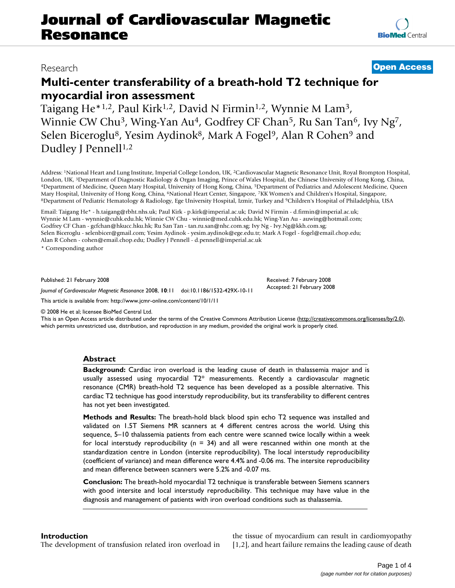# **Journal of Cardiovascular Magnetic Resonance**

## **Multi-center transferability of a breath-hold T2 technique for myocardial iron assessment**

Taigang He\*1,2, Paul Kirk1,2, David N Firmin1,2, Wynnie M Lam3, Winnie CW Chu<sup>3</sup>, Wing-Yan Au<sup>4</sup>, Godfrey CF Chan<sup>5</sup>, Ru San Tan<sup>6</sup>, Ivy Ng<sup>7</sup>, Selen Biceroglu<sup>8</sup>, Yesim Aydinok<sup>8</sup>, Mark A Fogel<sup>9</sup>, Alan R Cohen<sup>9</sup> and Dudley J Pennell<sup>1,2</sup>

Address: 1National Heart and Lung Institute, Imperial College London, UK, 2Cardiovascular Magnetic Resonance Unit, Royal Brompton Hospital, London, UK, <sup>3</sup>Department of Diagnostic Radiology & Organ Imaging, Prince of Wales Hospital, the Chinese University of Hong Kong, China, 4Department of Medicine, Queen Mary Hospital, University of Hong Kong, China, 6Depart 8Department of Pediatric Hematology & Radiology, Ege University Hospital, Izmir, Turkey and <sup>9</sup>Children's Hospital of Philadelphia, USA

Email: Taigang He\* - h.taigang@rbht.nhs.uk; Paul Kirk - p.kirk@imperial.ac.uk; David N Firmin - d.firmin@imperial.ac.uk; Wynnie M Lam - wynnie@cuhk.edu.hk; Winnie CW Chu - winnie@med.cuhk.edu.hk; Wing-Yan Au - auwing@hotmail.com; Godfrey CF Chan - gcfchan@hkucc.hku.hk; Ru San Tan - tan.ru.san@nhc.com.sg; Ivy Ng - Ivy.Ng@kkh.com.sg; Selen Biceroglu - selenbicer@gmail.com; Yesim Aydinok - yesim.aydinok@ege.edu.tr; Mark A Fogel - fogel@email.chop.edu; Alan R Cohen - cohen@email.chop.edu; Dudley J Pennell - d.pennell@imperial.ac.uk

\* Corresponding author

Published: 21 February 2008

*Journal of Cardiovascular Magnetic Resonance* 2008, **10**:11 doi:10.1186/1532-429X-10-11

[This article is available from: http://www.jcmr-online.com/content/10/1/11](http://www.jcmr-online.com/content/10/1/11)

© 2008 He et al; licensee BioMed Central Ltd.

This is an Open Access article distributed under the terms of the Creative Commons Attribution License [\(http://creativecommons.org/licenses/by/2.0\)](http://creativecommons.org/licenses/by/2.0), which permits unrestricted use, distribution, and reproduction in any medium, provided the original work is properly cited.

#### **Abstract**

**Background:** Cardiac iron overload is the leading cause of death in thalassemia major and is usually assessed using myocardial  $T2^*$  measurements. Recently a cardiovascular magnetic resonance (CMR) breath-hold T2 sequence has been developed as a possible alternative. This cardiac T2 technique has good interstudy reproducibility, but its transferability to different centres has not yet been investigated.

**Methods and Results:** The breath-hold black blood spin echo T2 sequence was installed and validated on 1.5T Siemens MR scanners at 4 different centres across the world. Using this sequence, 5–10 thalassemia patients from each centre were scanned twice locally within a week for local interstudy reproducibility ( $n = 34$ ) and all were rescanned within one month at the standardization centre in London (intersite reproducibility). The local interstudy reproducibility (coefficient of variance) and mean difference were 4.4% and -0.06 ms. The intersite reproducibility and mean difference between scanners were 5.2% and -0.07 ms.

**Conclusion:** The breath-hold myocardial T2 technique is transferable between Siemens scanners with good intersite and local interstudy reproducibility. This technique may have value in the diagnosis and management of patients with iron overload conditions such as thalassemia.

#### **Introduction**

The development of transfusion related iron overload in

the tissue of myocardium can result in cardiomyopathy [1,2], and heart failure remains the leading cause of death

### Research **[Open Access](http://www.biomedcentral.com/info/about/charter/)**

Received: 7 February 2008 Accepted: 21 February 2008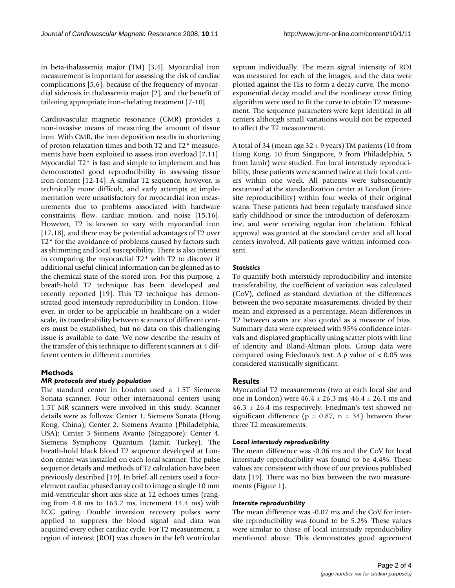in beta-thalassemia major (TM) [3,4]. Myocardial iron measurement is important for assessing the risk of cardiac complications [5,6], because of the frequency of myocardial siderosis in thalassemia major [2], and the benefit of tailoring appropriate iron-chelating treatment [7-10].

Cardiovascular magnetic resonance (CMR) provides a non-invasive means of measuring the amount of tissue iron. With CMR, the iron deposition results in shortening of proton relaxation times and both T2 and T2\* measurements have been exploited to assess iron overload [7,11]. Myocardial T2\* is fast and simple to implement and has demonstrated good reproducibility in assessing tissue iron content [12-14]. A similar T2 sequence, however, is technically more difficult, and early attempts at implementation were unsatisfactory for myocardial iron measurements due to problems associated with hardware constraints, flow, cardiac motion, and noise [15,16]. However, T2 is known to vary with myocardial iron [17,18], and there may be potential advantages of T2 over T2\* for the avoidance of problems caused by factors such as shimming and local susceptibility. There is also interest in comparing the myocardial T2\* with T2 to discover if additional useful clinical information can be gleaned as to the chemical state of the stored iron. For this purpose, a breath-hold T2 technique has been developed and recently reported [19]. This T2 technique has demonstrated good interstudy reproducibility in London. However, in order to be applicable in healthcare on a wider scale, its transferability between scanners of different centers must be established, but no data on this challenging issue is available to date. We now describe the results of the transfer of this technique to different scanners at 4 different centers in different countries.

#### **Methods**

#### *MR protocols and study population*

The standard center in London used a 1.5T Siemens Sonata scanner. Four other international centers using 1.5T MR scanners were involved in this study. Scanner details were as follows: Center 1, Siemens Sonata (Hong Kong, China); Center 2, Siemens Avanto (Philadelphia, USA); Center 3 Siemens Avanto (Singapore); Center 4, Siemens Symphony Quantum (Izmir, Turkey). The breath-hold black blood T2 sequence developed at London center was installed on each local scanner. The pulse sequence details and methods of T2 calculation have been previously described [19]. In brief, all centers used a fourelement cardiac phased array coil to image a single 10 mm mid-ventricular short axis slice at 12 echoes times (ranging from 4.8 ms to 163.2 ms, increment 14.4 ms) with ECG gating. Double inversion recovery pulses were applied to suppress the blood signal and data was acquired every other cardiac cycle. For T2 measurement, a region of interest (ROI) was chosen in the left ventricular septum individually. The mean signal intensity of ROI was measured for each of the images, and the data were plotted against the TEs to form a decay curve. The monoexponential decay model and the nonlinear curve fitting algorithm were used to fit the curve to obtain T2 measurement. The sequence parameters were kept identical in all centers although small variations would not be expected to affect the T2 measurement.

A total of 34 (mean age  $32 \pm 9$  years) TM patients (10 from Hong Kong, 10 from Singapore, 9 from Philadelphia, 5 from Izmir) were studied. For local interstudy reproducibility, these patients were scanned twice at their local centers within one week. All patients were subsequently rescanned at the standardization center at London (intersite reproducibility) within four weeks of their original scans. These patients had been regularly transfused since early childhood or since the introduction of deferoxamine, and were receiving regular iron chelation. Ethical approval was granted at the standard center and all local centers involved. All patients gave written informed consent.

#### *Statistics*

To quantify both interstudy reproducibility and intersite transferability, the coefficient of variation was calculated (CoV), defined as standard deviation of the differences between the two separate measurements, divided by their mean and expressed as a percentage. Mean differences in T2 between scans are also quoted as a measure of bias. Summary data were expressed with 95% confidence intervals and displayed graphically using scatter plots with line of identity and Bland-Altman plots. Group data were compared using Friedman's test. A *p* value of < 0.05 was considered statistically significant.

#### **Results**

Myocardial T2 measurements (two at each local site and one in London) were  $46.4 \pm 26.3$  ms,  $46.4 \pm 26.1$  ms and  $46.3 \pm 26.4$  ms respectively. Friedman's test showed no significant difference ( $p = 0.87$ ,  $n = 34$ ) between these three T2 measurements.

#### *Local interstudy reproducibility*

The mean difference was -0.06 ms and the CoV for local interstudy reproducibility was found to be 4.4%. These values are consistent with those of our previous published data [19]. There was no bias between the two measurements (Figure 1).

#### *Intersite reproducibility*

The mean difference was -0.07 ms and the CoV for intersite reproducibility was found to be 5.2%. These values were similar to those of local interstudy reproducibility mentioned above. This demonstrates good agreement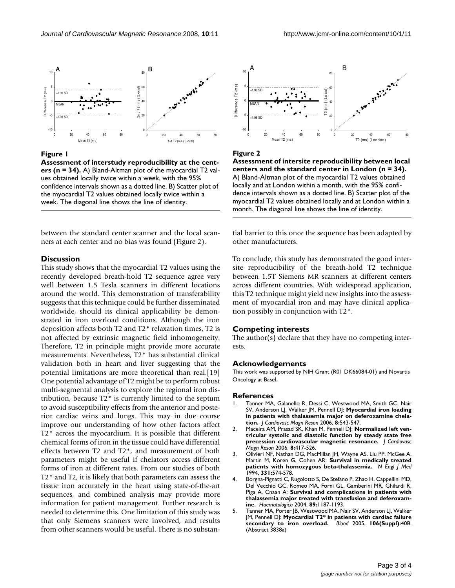

#### **Figure 1**

**Assessment of interstudy reproducibility at the centers (n = 34).** A) Bland-Altman plot of the myocardial T2 values obtained locally twice within a week, with the 95% confidence intervals shown as a dotted line. B) Scatter plot of the myocardial T2 values obtained locally twice within a week. The diagonal line shows the line of identity.

between the standard center scanner and the local scanners at each center and no bias was found (Figure 2).

#### **Discussion**

This study shows that the myocardial T2 values using the recently developed breath-hold T2 sequence agree very well between 1.5 Tesla scanners in different locations around the world. This demonstration of transferability suggests that this technique could be further disseminated worldwide, should its clinical applicability be demonstrated in iron overload conditions. Although the iron deposition affects both T2 and T2\* relaxation times, T2 is not affected by extrinsic magnetic field inhomogeneity. Therefore, T2 in principle might provide more accurate measurements. Nevertheless, T2\* has substantial clinical validation both in heart and liver suggesting that the potential limitations are more theoretical than real.[19] One potential advantage of T2 might be to perform robust multi-segmental analysis to explore the regional iron distribution, because T2\* is currently limited to the septum to avoid susceptibility effects from the anterior and posterior cardiac veins and lungs. This may in due course improve our understanding of how other factors affect T2\* across the myocardium. It is possible that different chemical forms of iron in the tissue could have differential effects between T2 and T2\*, and measurement of both parameters might be useful if chelators access different forms of iron at different rates. From our studies of both T2\* and T2, it is likely that both parameters can assess the tissue iron accurately in the heart using state-of-the-art sequences, and combined analysis may provide more information for patient management. Further research is needed to determine this. One limitation of this study was that only Siemens scanners were involved, and results from other scanners would be useful. There is no substan-



#### Figure 2

**Assessment of intersite reproducibility between local centers and the standard center in London (n = 34).** A) Bland-Altman plot of the myocardial T2 values obtained locally and at London within a month, with the 95% confidence intervals shown as a dotted line. B) Scatter plot of the myocardial T2 values obtained locally and at London within a month. The diagonal line shows the line of identity.

tial barrier to this once the sequence has been adapted by other manufacturers.

To conclude, this study has demonstrated the good intersite reproducibility of the breath-hold T2 technique between 1.5T Siemens MR scanners at different centers across different countries. With widespread application, this T2 technique might yield new insights into the assessment of myocardial iron and may have clinical application possibly in conjunction with T2\*.

#### **Competing interests**

The author(s) declare that they have no competing interests.

#### **Acknowledgements**

This work was supported by NIH Grant (R01 DK66084-01) and Novartis Oncology at Basel.

#### **References**

- 1. Tanner MA, Galanello R, Dessi C, Westwood MA, Smith GC, Nair SV, Anderson LJ, Walker JM, Pennell DJ: **[Myocardial iron loading](http://www.ncbi.nlm.nih.gov/entrez/query.fcgi?cmd=Retrieve&db=PubMed&dopt=Abstract&list_uids=16755844) [in patients with thalassemia major on deferoxamine chela](http://www.ncbi.nlm.nih.gov/entrez/query.fcgi?cmd=Retrieve&db=PubMed&dopt=Abstract&list_uids=16755844)[tion.](http://www.ncbi.nlm.nih.gov/entrez/query.fcgi?cmd=Retrieve&db=PubMed&dopt=Abstract&list_uids=16755844)** *J Cardiovasc Magn Reson* 2006, **8:**543-547.
- 2. Maceira AM, Prasad SK, Khan M, Pennell DJ: **[Normalized left ven](http://www.ncbi.nlm.nih.gov/entrez/query.fcgi?cmd=Retrieve&db=PubMed&dopt=Abstract&list_uids=16755827)[tricular systolic and diastolic function by steady state free](http://www.ncbi.nlm.nih.gov/entrez/query.fcgi?cmd=Retrieve&db=PubMed&dopt=Abstract&list_uids=16755827) [precession cardiovascular magnetic resonance.](http://www.ncbi.nlm.nih.gov/entrez/query.fcgi?cmd=Retrieve&db=PubMed&dopt=Abstract&list_uids=16755827)** *J Cardiovasc Magn Reson* 2006, **8:**417-526.
- 3. Olivieri NF, Nathan DG, MacMillan JH, Wayne AS, Liu PP, McGee A, Martin M, Koren G, Cohen AR: **[Survival in medically treated](http://www.ncbi.nlm.nih.gov/entrez/query.fcgi?cmd=Retrieve&db=PubMed&dopt=Abstract&list_uids=8047081) [patients with homozygous beta-thalassemia.](http://www.ncbi.nlm.nih.gov/entrez/query.fcgi?cmd=Retrieve&db=PubMed&dopt=Abstract&list_uids=8047081)** *N Engl J Med* 1994, **331:**574-578.
- 4. Borgna-Pignatti C, Rugolotto S, De Stefano P, Zhao H, Cappellini MD, Del Vecchio GC, Romeo MA, Forni GL, Gamberini MR, Ghilardi R, Piga A, Cnaan A: **[Survival and complications in patients with](http://www.ncbi.nlm.nih.gov/entrez/query.fcgi?cmd=Retrieve&db=PubMed&dopt=Abstract&list_uids=15477202) [thalassemia major treated with transfusion and deferoxam](http://www.ncbi.nlm.nih.gov/entrez/query.fcgi?cmd=Retrieve&db=PubMed&dopt=Abstract&list_uids=15477202)[ine.](http://www.ncbi.nlm.nih.gov/entrez/query.fcgi?cmd=Retrieve&db=PubMed&dopt=Abstract&list_uids=15477202)** *Haematologica* 2004, **89:**1187-1193.
- 5. Tanner MA, Porter JB, Westwood MA, Nair SV, Anderson LJ, Walker JM, Pennell DJ: **Myocardial T2\* in patients with cardiac failure secondary to iron overload.** *Blood* 2005, **106(Suppl):**40B. (Abstract 3838a)